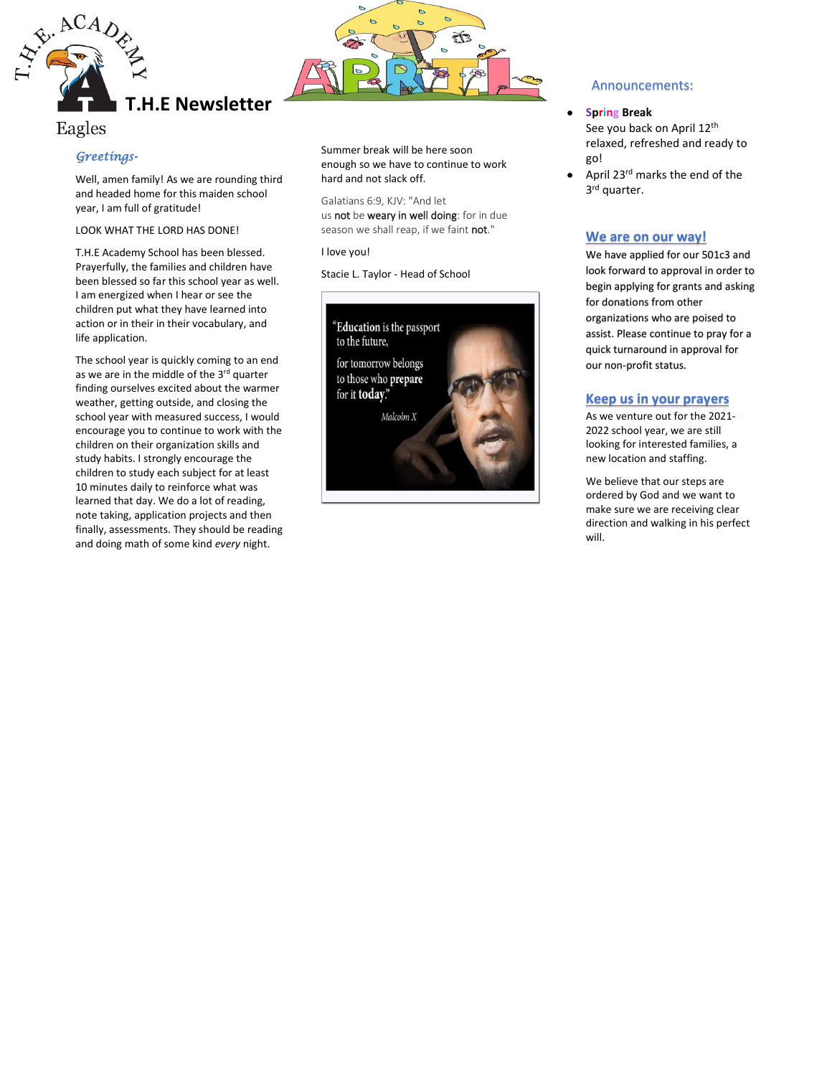

# Eagles

## *Greetings-*

Well, amen family! As we are rounding third and headed home for this maiden school year, I am full of gratitude!

LOOK WHAT THE LORD HAS DONE!

T.H.E Academy School has been blessed. Prayerfully, the families and children have been blessed so far this school year as well. I am energized when I hear or see the children put what they have learned into action or in their in their vocabulary, and life application.

The school year is quickly coming to an end as we are in the middle of the 3rd quarter finding ourselves excited about the warmer weather, getting outside, and closing the school year with measured success, I would encourage you to continue to work with the children on their organization skills and study habits. I strongly encourage the children to study each subject for at least 10 minutes daily to reinforce what was learned that day. We do a lot of reading, note taking, application projects and then finally, assessments. They should be reading and doing math of some kind *every* night.



Summer break will be here soon enough so we have to continue to work hard and not slack off.

Galatians 6:9, KJV: "And let us not be weary in well doing: for in due season we shall reap, if we faint not."

I love you!

Stacie L. Taylor - Head of School



## Announcements:

- **Spring Break** See you back on April 12<sup>th</sup> relaxed, refreshed and ready to go!
- April 23rd marks the end of the 3<sup>rd</sup> quarter.

## **We are on our way!**

We have applied for our 501c3 and look forward to approval in order to begin applying for grants and asking for donations from other organizations who are poised to assist. Please continue to pray for a quick turnaround in approval for our non-profit status.

## **Keep us in your prayers**

As we venture out for the 2021- 2022 school year, we are still looking for interested families, a new location and staffing.

We believe that our steps are ordered by God and we want to make sure we are receiving clear direction and walking in his perfect will.